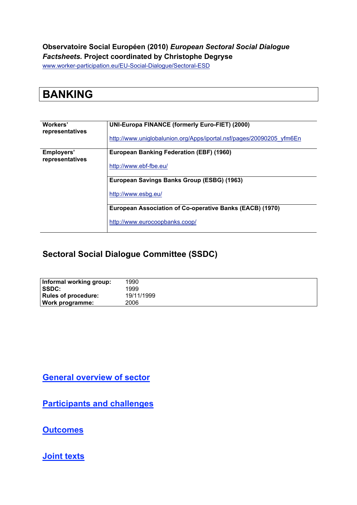#### **Observatoire Social Européen (2010)** *European Sectoral Social Dialogue Factsheets.* **Project coordinated by Christophe Degryse**

www.worker-participation.eu/EU-Social-Dialogue/Sectoral-ESD

| <b>BANKING</b> |  |
|----------------|--|
|                |  |

| Workers'<br>representatives   | <b>UNI-Europa FINANCE (formerly Euro-FIET) (2000)</b>                |  |  |  |  |
|-------------------------------|----------------------------------------------------------------------|--|--|--|--|
|                               | http://www.uniglobalunion.org/Apps/iportal.nsf/pages/20090205 yfm6En |  |  |  |  |
| Employers'<br>representatives | <b>European Banking Federation (EBF) (1960)</b>                      |  |  |  |  |
|                               | http://www.ebf-fbe.eu/                                               |  |  |  |  |
|                               | European Savings Banks Group (ESBG) (1963)                           |  |  |  |  |
|                               | http://www.esbg.eu/                                                  |  |  |  |  |
|                               | European Association of Co-operative Banks (EACB) (1970)             |  |  |  |  |
|                               | http://www.eurocoopbanks.coop/                                       |  |  |  |  |

### **Sectoral Social Dialogue Committee (SSDC)**

| Informal working group: | 1990       |
|-------------------------|------------|
| I SSDC:                 | 1999       |
| Rules of procedure:     | 19/11/1999 |
| Work programme:         | 2006       |

**General overview of sector**

**Participants and challenges**

**Outcomes**

**Joint texts**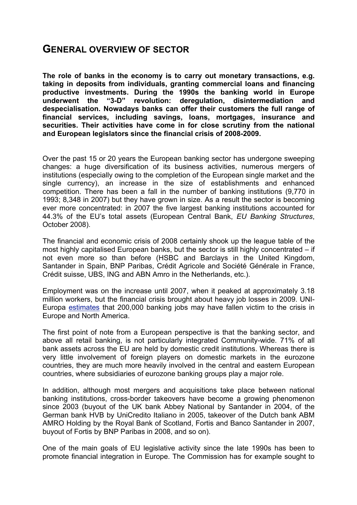### **GENERAL OVERVIEW OF SECTOR**

**The role of banks in the economy is to carry out monetary transactions, e.g. taking in deposits from individuals, granting commercial loans and financing productive investments. During the 1990s the banking world in Europe underwent the "3-D" revolution: deregulation, disintermediation and despecialisation. Nowadays banks can offer their customers the full range of financial services, including savings, loans, mortgages, insurance and securities. Their activities have come in for close scrutiny from the national and European legislators since the financial crisis of 2008-2009.**

Over the past 15 or 20 years the European banking sector has undergone sweeping changes: a huge diversification of its business activities, numerous mergers of institutions (especially owing to the completion of the European single market and the single currency), an increase in the size of establishments and enhanced competition. There has been a fall in the number of banking institutions (9,770 in 1993; 8,348 in 2007) but they have grown in size. As a result the sector is becoming ever more concentrated: in 2007 the five largest banking institutions accounted for 44.3% of the EU's total assets (European Central Bank, *EU Banking Structures*, October 2008).

The financial and economic crisis of 2008 certainly shook up the league table of the most highly capitalised European banks, but the sector is still highly concentrated – if not even more so than before (HSBC and Barclays in the United Kingdom, Santander in Spain, BNP Paribas, Crédit Agricole and Société Générale in France, Crédit suisse, UBS, ING and ABN Amro in the Netherlands, etc.).

Employment was on the increase until 2007, when it peaked at approximately 3.18 million workers, but the financial crisis brought about heavy job losses in 2009. UNI-Europa estimates that 200,000 banking jobs may have fallen victim to the crisis in Europe and North America.

The first point of note from a European perspective is that the banking sector, and above all retail banking, is not particularly integrated Community-wide. 71% of all bank assets across the EU are held by domestic credit institutions. Whereas there is very little involvement of foreign players on domestic markets in the eurozone countries, they are much more heavily involved in the central and eastern European countries, where subsidiaries of eurozone banking groups play a major role.

In addition, although most mergers and acquisitions take place between national banking institutions, cross-border takeovers have become a growing phenomenon since 2003 (buyout of the UK bank Abbey National by Santander in 2004, of the German bank HVB by UniCredito Italiano in 2005, takeover of the Dutch bank ABM AMRO Holding by the Royal Bank of Scotland, Fortis and Banco Santander in 2007, buyout of Fortis by BNP Paribas in 2008, and so on).

One of the main goals of EU legislative activity since the late 1990s has been to promote financial integration in Europe. The Commission has for example sought to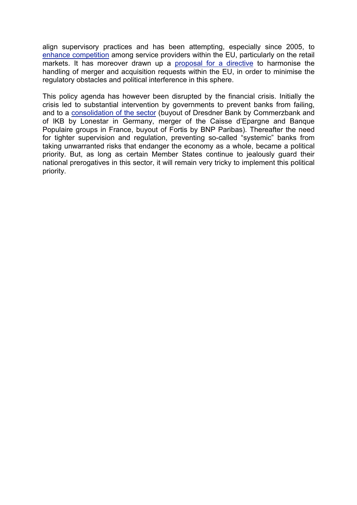align supervisory practices and has been attempting, especially since 2005, to enhance competition among service providers within the EU, particularly on the retail markets. It has moreover drawn up a proposal for a directive to harmonise the handling of merger and acquisition requests within the EU, in order to minimise the regulatory obstacles and political interference in this sphere.

This policy agenda has however been disrupted by the financial crisis. Initially the crisis led to substantial intervention by governments to prevent banks from failing, and to a consolidation of the sector (buyout of Dresdner Bank by Commerzbank and of IKB by Lonestar in Germany, merger of the Caisse d'Epargne and Banque Populaire groups in France, buyout of Fortis by BNP Paribas). Thereafter the need for tighter supervision and regulation, preventing so-called "systemic" banks from taking unwarranted risks that endanger the economy as a whole, became a political priority. But, as long as certain Member States continue to jealously guard their national prerogatives in this sector, it will remain very tricky to implement this political priority.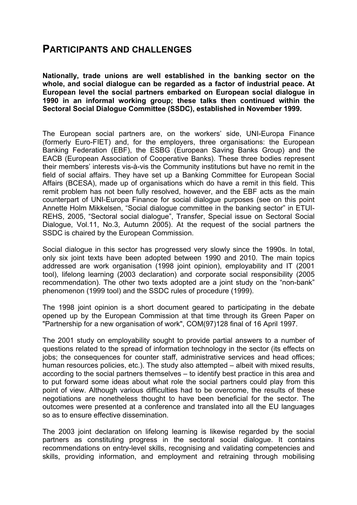### **PARTICIPANTS AND CHALLENGES**

**Nationally, trade unions are well established in the banking sector on the whole, and social dialogue can be regarded as a factor of industrial peace. At European level the social partners embarked on European social dialogue in 1990 in an informal working group; these talks then continued within the Sectoral Social Dialogue Committee (SSDC), established in November 1999.**

The European social partners are, on the workers' side, UNI-Europa Finance (formerly Euro-FIET) and, for the employers, three organisations: the European Banking Federation (EBF), the ESBG (European Saving Banks Group) and the EACB (European Association of Cooperative Banks). These three bodies represent their members' interests vis-à-vis the Community institutions but have no remit in the field of social affairs. They have set up a Banking Committee for European Social Affairs (BCESA), made up of organisations which do have a remit in this field. This remit problem has not been fully resolved, however, and the EBF acts as the main counterpart of UNI-Europa Finance for social dialogue purposes (see on this point Annette Holm Mikkelsen, "Social dialogue committee in the banking sector" in ETUI-REHS, 2005, "Sectoral social dialogue", Transfer, Special issue on Sectoral Social Dialogue, Vol.11, No.3, Autumn 2005). At the request of the social partners the SSDC is chaired by the European Commission.

Social dialogue in this sector has progressed very slowly since the 1990s. In total, only six joint texts have been adopted between 1990 and 2010. The main topics addressed are work organisation (1998 joint opinion), employability and IT (2001 tool), lifelong learning (2003 declaration) and corporate social responsibility (2005 recommendation). The other two texts adopted are a joint study on the "non-bank" phenomenon (1999 tool) and the SSDC rules of procedure (1999).

The 1998 joint opinion is a short document geared to participating in the debate opened up by the European Commission at that time through its Green Paper on "Partnership for a new organisation of work", COM(97)128 final of 16 April 1997.

The 2001 study on employability sought to provide partial answers to a number of questions related to the spread of information technology in the sector (its effects on jobs; the consequences for counter staff, administrative services and head offices; human resources policies, etc.). The study also attempted – albeit with mixed results, according to the social partners themselves – to identify best practice in this area and to put forward some ideas about what role the social partners could play from this point of view. Although various difficulties had to be overcome, the results of these negotiations are nonetheless thought to have been beneficial for the sector. The outcomes were presented at a conference and translated into all the EU languages so as to ensure effective dissemination.

The 2003 joint declaration on lifelong learning is likewise regarded by the social partners as constituting progress in the sectoral social dialogue. It contains recommendations on entry-level skills, recognising and validating competencies and skills, providing information, and employment and retraining through mobilising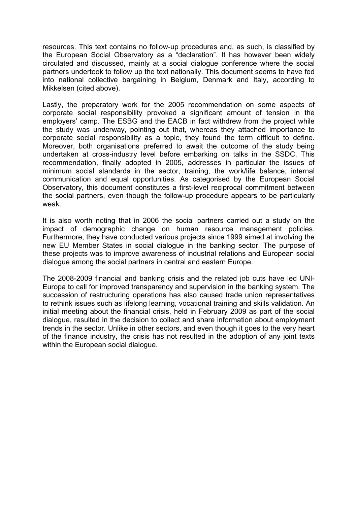resources. This text contains no follow-up procedures and, as such, is classified by the European Social Observatory as a "declaration". It has however been widely circulated and discussed, mainly at a social dialogue conference where the social partners undertook to follow up the text nationally. This document seems to have fed into national collective bargaining in Belgium, Denmark and Italy, according to Mikkelsen (cited above).

Lastly, the preparatory work for the 2005 recommendation on some aspects of corporate social responsibility provoked a significant amount of tension in the employers' camp. The ESBG and the EACB in fact withdrew from the project while the study was underway, pointing out that, whereas they attached importance to corporate social responsibility as a topic, they found the term difficult to define. Moreover, both organisations preferred to await the outcome of the study being undertaken at cross-industry level before embarking on talks in the SSDC. This recommendation, finally adopted in 2005, addresses in particular the issues of minimum social standards in the sector, training, the work/life balance, internal communication and equal opportunities. As categorised by the European Social Observatory, this document constitutes a first-level reciprocal commitment between the social partners, even though the follow-up procedure appears to be particularly weak.

It is also worth noting that in 2006 the social partners carried out a study on the impact of demographic change on human resource management policies. Furthermore, they have conducted various projects since 1999 aimed at involving the new EU Member States in social dialogue in the banking sector. The purpose of these projects was to improve awareness of industrial relations and European social dialogue among the social partners in central and eastern Europe.

The 2008-2009 financial and banking crisis and the related job cuts have led UNI-Europa to call for improved transparency and supervision in the banking system. The succession of restructuring operations has also caused trade union representatives to rethink issues such as lifelong learning, vocational training and skills validation. An initial meeting about the financial crisis, held in February 2009 as part of the social dialogue, resulted in the decision to collect and share information about employment trends in the sector. Unlike in other sectors, and even though it goes to the very heart of the finance industry, the crisis has not resulted in the adoption of any joint texts within the European social dialogue.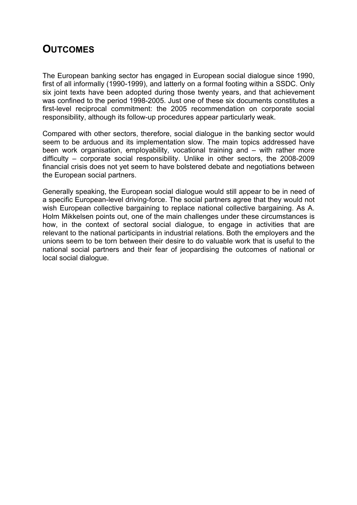## **OUTCOMES**

The European banking sector has engaged in European social dialogue since 1990, first of all informally (1990-1999), and latterly on a formal footing within a SSDC. Only six joint texts have been adopted during those twenty years, and that achievement was confined to the period 1998-2005. Just one of these six documents constitutes a first-level reciprocal commitment: the 2005 recommendation on corporate social responsibility, although its follow-up procedures appear particularly weak.

Compared with other sectors, therefore, social dialogue in the banking sector would seem to be arduous and its implementation slow. The main topics addressed have been work organisation, employability, vocational training and – with rather more difficulty – corporate social responsibility. Unlike in other sectors, the 2008-2009 financial crisis does not yet seem to have bolstered debate and negotiations between the European social partners.

Generally speaking, the European social dialogue would still appear to be in need of a specific European-level driving-force. The social partners agree that they would not wish European collective bargaining to replace national collective bargaining. As A. Holm Mikkelsen points out, one of the main challenges under these circumstances is how, in the context of sectoral social dialogue, to engage in activities that are relevant to the national participants in industrial relations. Both the employers and the unions seem to be torn between their desire to do valuable work that is useful to the national social partners and their fear of jeopardising the outcomes of national or local social dialogue.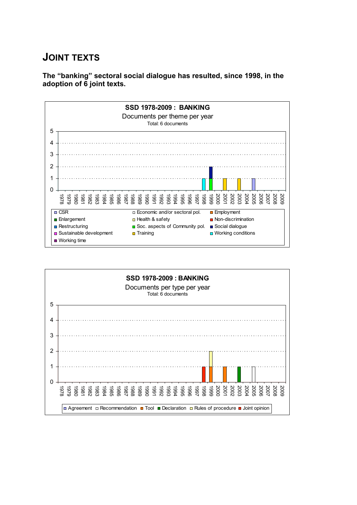# **JOINT TEXTS**

**The "banking" sectoral social dialogue has resulted, since 1998, in the adoption of 6 joint texts.**